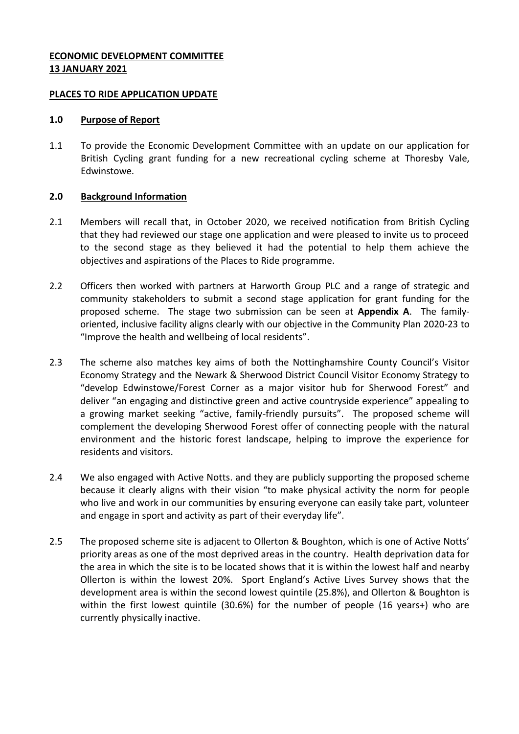## **ECONOMIC DEVELOPMENT COMMITTEE 13 JANUARY 2021**

### **PLACES TO RIDE APPLICATION UPDATE**

#### **1.0 Purpose of Report**

1.1 To provide the Economic Development Committee with an update on our application for British Cycling grant funding for a new recreational cycling scheme at Thoresby Vale, Edwinstowe.

### **2.0 Background Information**

- 2.1 Members will recall that, in October 2020, we received notification from British Cycling that they had reviewed our stage one application and were pleased to invite us to proceed to the second stage as they believed it had the potential to help them achieve the objectives and aspirations of the Places to Ride programme.
- 2.2 Officers then worked with partners at Harworth Group PLC and a range of strategic and community stakeholders to submit a second stage application for grant funding for the proposed scheme. The stage two submission can be seen at **Appendix A**. The familyoriented, inclusive facility aligns clearly with our objective in the Community Plan 2020-23 to "Improve the health and wellbeing of local residents".
- 2.3 The scheme also matches key aims of both the Nottinghamshire County Council's Visitor Economy Strategy and the Newark & Sherwood District Council Visitor Economy Strategy to "develop Edwinstowe/Forest Corner as a major visitor hub for Sherwood Forest" and deliver "an engaging and distinctive green and active countryside experience" appealing to a growing market seeking "active, family-friendly pursuits". The proposed scheme will complement the developing Sherwood Forest offer of connecting people with the natural environment and the historic forest landscape, helping to improve the experience for residents and visitors.
- 2.4 We also engaged with Active Notts. and they are publicly supporting the proposed scheme because it clearly aligns with their vision "to make physical activity the norm for people who live and work in our communities by ensuring everyone can easily take part, volunteer and engage in sport and activity as part of their everyday life".
- 2.5 The proposed scheme site is adjacent to Ollerton & Boughton, which is one of Active Notts' priority areas as one of the most deprived areas in the country. Health deprivation data for the area in which the site is to be located shows that it is within the lowest half and nearby Ollerton is within the lowest 20%. Sport England's Active Lives Survey shows that the development area is within the second lowest quintile (25.8%), and Ollerton & Boughton is within the first lowest quintile (30.6%) for the number of people (16 years+) who are currently physically inactive.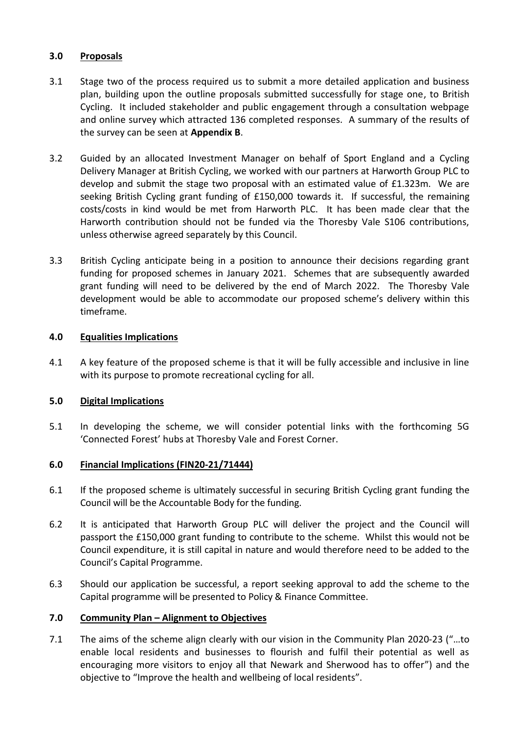## **3.0 Proposals**

- 3.1 Stage two of the process required us to submit a more detailed application and business plan, building upon the outline proposals submitted successfully for stage one, to British Cycling. It included stakeholder and public engagement through a consultation webpage and online survey which attracted 136 completed responses. A summary of the results of the survey can be seen at **Appendix B**.
- 3.2 Guided by an allocated Investment Manager on behalf of Sport England and a Cycling Delivery Manager at British Cycling, we worked with our partners at Harworth Group PLC to develop and submit the stage two proposal with an estimated value of £1.323m. We are seeking British Cycling grant funding of £150,000 towards it. If successful, the remaining costs/costs in kind would be met from Harworth PLC. It has been made clear that the Harworth contribution should not be funded via the Thoresby Vale S106 contributions, unless otherwise agreed separately by this Council.
- 3.3 British Cycling anticipate being in a position to announce their decisions regarding grant funding for proposed schemes in January 2021. Schemes that are subsequently awarded grant funding will need to be delivered by the end of March 2022. The Thoresby Vale development would be able to accommodate our proposed scheme's delivery within this timeframe.

## **4.0 Equalities Implications**

4.1 A key feature of the proposed scheme is that it will be fully accessible and inclusive in line with its purpose to promote recreational cycling for all.

# **5.0 Digital Implications**

5.1 In developing the scheme, we will consider potential links with the forthcoming 5G 'Connected Forest' hubs at Thoresby Vale and Forest Corner.

# **6.0 Financial Implications (FIN20-21/71444)**

- 6.1 If the proposed scheme is ultimately successful in securing British Cycling grant funding the Council will be the Accountable Body for the funding.
- 6.2 It is anticipated that Harworth Group PLC will deliver the project and the Council will passport the £150,000 grant funding to contribute to the scheme. Whilst this would not be Council expenditure, it is still capital in nature and would therefore need to be added to the Council's Capital Programme.
- 6.3 Should our application be successful, a report seeking approval to add the scheme to the Capital programme will be presented to Policy & Finance Committee.

### **7.0 Community Plan – Alignment to Objectives**

7.1 The aims of the scheme align clearly with our vision in the Community Plan 2020-23 ("…to enable local residents and businesses to flourish and fulfil their potential as well as encouraging more visitors to enjoy all that Newark and Sherwood has to offer") and the objective to "Improve the health and wellbeing of local residents".